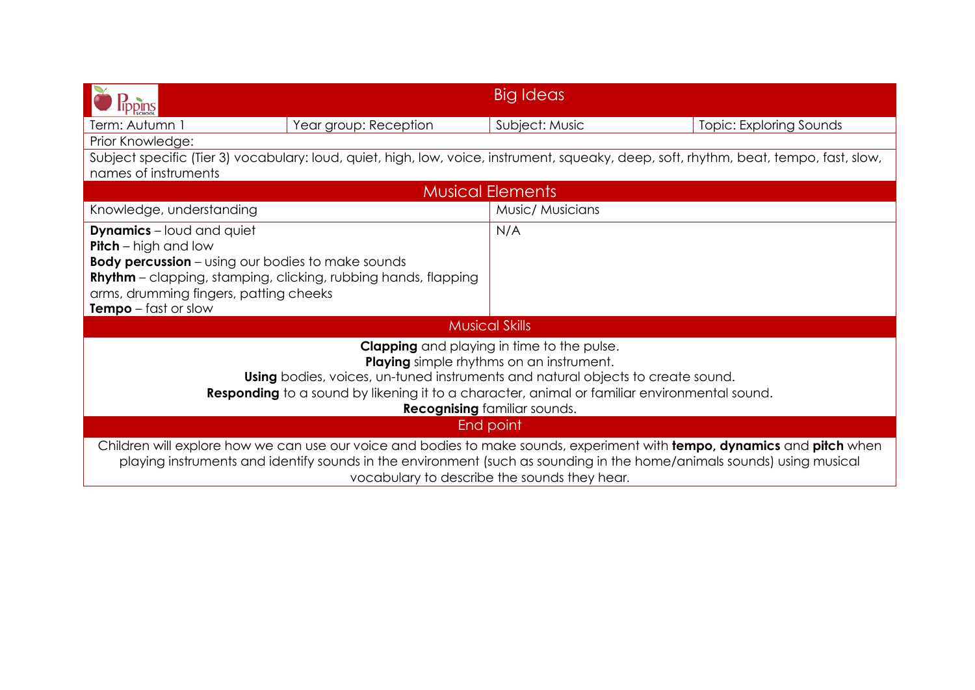|                                                                                                                                                                                                                                                                                                                                       |                       | Big Ideas               |                                |  |  |
|---------------------------------------------------------------------------------------------------------------------------------------------------------------------------------------------------------------------------------------------------------------------------------------------------------------------------------------|-----------------------|-------------------------|--------------------------------|--|--|
| Term: Autumn 1                                                                                                                                                                                                                                                                                                                        | Year group: Reception | Subject: Music          | <b>Topic: Exploring Sounds</b> |  |  |
| Prior Knowledge:                                                                                                                                                                                                                                                                                                                      |                       |                         |                                |  |  |
| Subject specific (Tier 3) vocabulary: loud, quiet, high, low, voice, instrument, squeaky, deep, soft, rhythm, beat, tempo, fast, slow,<br>names of instruments                                                                                                                                                                        |                       |                         |                                |  |  |
|                                                                                                                                                                                                                                                                                                                                       |                       | <b>Musical Elements</b> |                                |  |  |
| Knowledge, understanding                                                                                                                                                                                                                                                                                                              |                       | Music/ Musicians        |                                |  |  |
| <b>Dynamics</b> – loud and quiet<br><b>Pitch</b> – high and low                                                                                                                                                                                                                                                                       |                       | N/A                     |                                |  |  |
| <b>Body percussion</b> – using our bodies to make sounds<br><b>Rhythm</b> – clapping, stamping, clicking, rubbing hands, flapping<br>arms, drumming fingers, patting cheeks<br><b>Tempo</b> $-$ fast or slow                                                                                                                          |                       |                         |                                |  |  |
| <b>Musical Skills</b>                                                                                                                                                                                                                                                                                                                 |                       |                         |                                |  |  |
| <b>Clapping</b> and playing in time to the pulse.<br><b>Playing</b> simple rhythms on an instrument.<br><b>Using</b> bodies, voices, un-tuned instruments and natural objects to create sound.<br>Responding to a sound by likening it to a character, animal or familiar environmental sound.<br><b>Recognising familiar sounds.</b> |                       |                         |                                |  |  |
| End point                                                                                                                                                                                                                                                                                                                             |                       |                         |                                |  |  |
| Children will explore how we can use our voice and bodies to make sounds, experiment with tempo, dynamics and pitch when<br>playing instruments and identify sounds in the environment (such as sounding in the home/animals sounds) using musical<br>vocabulary to describe the sounds they hear.                                    |                       |                         |                                |  |  |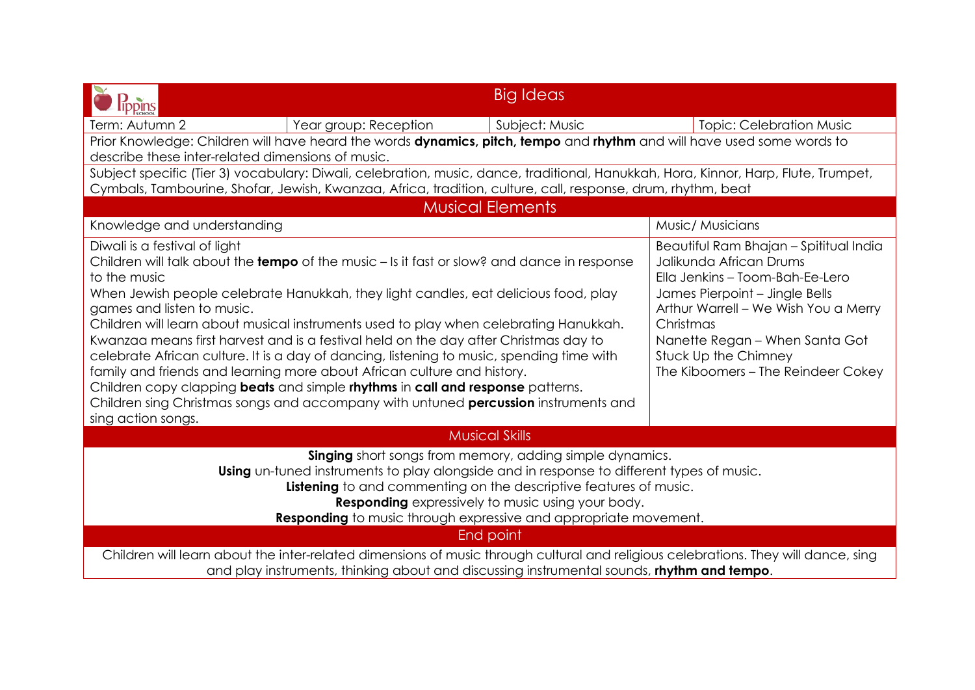| ippins                                                                                                                                                                                                                                                                                                                                                                                                                                                                                                                                                                                                                                                                                                                                                                                                                                    | <b>Big Ideas</b>        |                                                                                                                                                                                                                                                                                             |  |  |  |  |
|-------------------------------------------------------------------------------------------------------------------------------------------------------------------------------------------------------------------------------------------------------------------------------------------------------------------------------------------------------------------------------------------------------------------------------------------------------------------------------------------------------------------------------------------------------------------------------------------------------------------------------------------------------------------------------------------------------------------------------------------------------------------------------------------------------------------------------------------|-------------------------|---------------------------------------------------------------------------------------------------------------------------------------------------------------------------------------------------------------------------------------------------------------------------------------------|--|--|--|--|
| Term: Autumn 2<br>Year group: Reception                                                                                                                                                                                                                                                                                                                                                                                                                                                                                                                                                                                                                                                                                                                                                                                                   | Subject: Music          | <b>Topic: Celebration Music</b>                                                                                                                                                                                                                                                             |  |  |  |  |
| Prior Knowledge: Children will have heard the words dynamics, pitch, tempo and rhythm and will have used some words to<br>describe these inter-related dimensions of music.                                                                                                                                                                                                                                                                                                                                                                                                                                                                                                                                                                                                                                                               |                         |                                                                                                                                                                                                                                                                                             |  |  |  |  |
| Subject specific (Tier 3) vocabulary: Diwali, celebration, music, dance, traditional, Hanukkah, Hora, Kinnor, Harp, Flute, Trumpet,<br>Cymbals, Tambourine, Shofar, Jewish, Kwanzaa, Africa, tradition, culture, call, response, drum, rhythm, beat                                                                                                                                                                                                                                                                                                                                                                                                                                                                                                                                                                                       |                         |                                                                                                                                                                                                                                                                                             |  |  |  |  |
|                                                                                                                                                                                                                                                                                                                                                                                                                                                                                                                                                                                                                                                                                                                                                                                                                                           | <b>Musical Elements</b> |                                                                                                                                                                                                                                                                                             |  |  |  |  |
| Knowledge and understanding                                                                                                                                                                                                                                                                                                                                                                                                                                                                                                                                                                                                                                                                                                                                                                                                               |                         | Music/ Musicians                                                                                                                                                                                                                                                                            |  |  |  |  |
| Diwali is a festival of light<br>Children will talk about the <b>tempo</b> of the music $-$ is it fast or slow? and dance in response<br>to the music<br>When Jewish people celebrate Hanukkah, they light candles, eat delicious food, play<br>games and listen to music.<br>Children will learn about musical instruments used to play when celebrating Hanukkah.<br>Kwanzaa means first harvest and is a festival held on the day after Christmas day to<br>celebrate African culture. It is a day of dancing, listening to music, spending time with<br>family and friends and learning more about African culture and history.<br>Children copy clapping <b>beats</b> and simple rhythms in call and response patterns.<br>Children sing Christmas songs and accompany with untuned percussion instruments and<br>sing action songs. |                         | Beautiful Ram Bhajan - Spititual India<br>Jalikunda African Drums<br>Ella Jenkins - Toom-Bah-Ee-Lero<br>James Pierpoint - Jingle Bells<br>Arthur Warrell – We Wish You a Merry<br>Christmas<br>Nanette Regan - When Santa Got<br>Stuck Up the Chimney<br>The Kiboomers - The Reindeer Cokey |  |  |  |  |
| <b>Musical Skills</b>                                                                                                                                                                                                                                                                                                                                                                                                                                                                                                                                                                                                                                                                                                                                                                                                                     |                         |                                                                                                                                                                                                                                                                                             |  |  |  |  |
| Singing short songs from memory, adding simple dynamics.<br>Using un-tuned instruments to play alongside and in response to different types of music.<br><b>Listening</b> to and commenting on the descriptive features of music.<br><b>Responding</b> expressively to music using your body.<br>Responding to music through expressive and appropriate movement.                                                                                                                                                                                                                                                                                                                                                                                                                                                                         |                         |                                                                                                                                                                                                                                                                                             |  |  |  |  |
| End point                                                                                                                                                                                                                                                                                                                                                                                                                                                                                                                                                                                                                                                                                                                                                                                                                                 |                         |                                                                                                                                                                                                                                                                                             |  |  |  |  |
| Children will learn about the inter-related dimensions of music through cultural and religious celebrations. They will dance, sing<br>and play instruments, thinking about and discussing instrumental sounds, rhythm and tempo.                                                                                                                                                                                                                                                                                                                                                                                                                                                                                                                                                                                                          |                         |                                                                                                                                                                                                                                                                                             |  |  |  |  |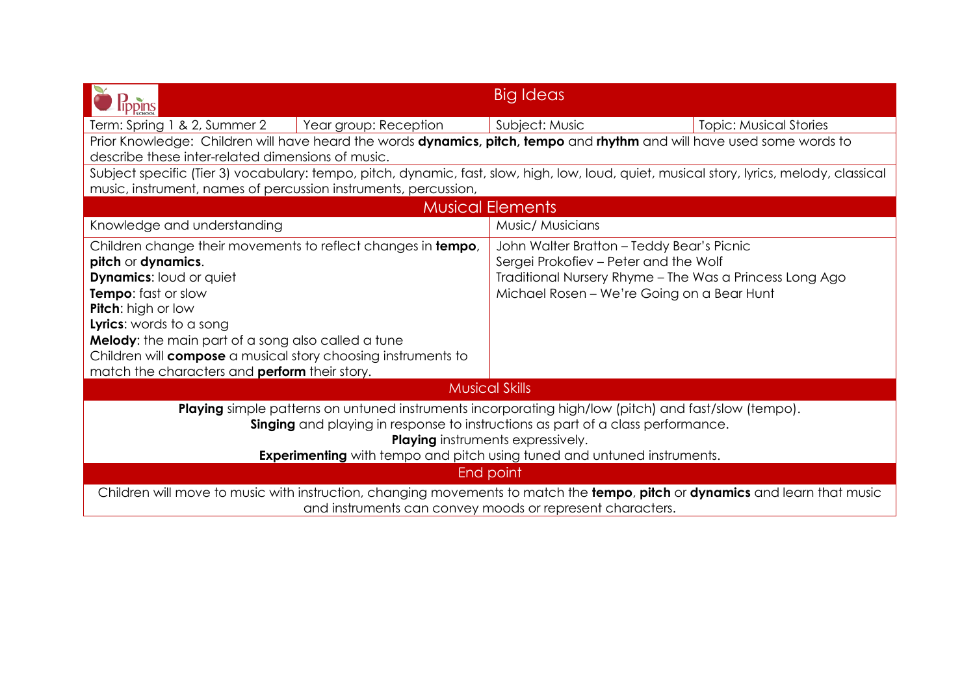|                                                                                                                                                                                                                                                                                                                                                                                    |                       | Big Ideas                                                                                                                                                                                   |                               |  |  |
|------------------------------------------------------------------------------------------------------------------------------------------------------------------------------------------------------------------------------------------------------------------------------------------------------------------------------------------------------------------------------------|-----------------------|---------------------------------------------------------------------------------------------------------------------------------------------------------------------------------------------|-------------------------------|--|--|
| Term: Spring 1 & 2, Summer 2                                                                                                                                                                                                                                                                                                                                                       | Year group: Reception | Subject: Music                                                                                                                                                                              | <b>Topic: Musical Stories</b> |  |  |
| Prior Knowledge: Children will have heard the words dynamics, pitch, tempo and rhythm and will have used some words to                                                                                                                                                                                                                                                             |                       |                                                                                                                                                                                             |                               |  |  |
| describe these inter-related dimensions of music.                                                                                                                                                                                                                                                                                                                                  |                       |                                                                                                                                                                                             |                               |  |  |
| Subject specific (Tier 3) vocabulary: tempo, pitch, dynamic, fast, slow, high, low, loud, quiet, musical story, lyrics, melody, classical                                                                                                                                                                                                                                          |                       |                                                                                                                                                                                             |                               |  |  |
| music, instrument, names of percussion instruments, percussion,                                                                                                                                                                                                                                                                                                                    |                       |                                                                                                                                                                                             |                               |  |  |
| <b>Musical Elements</b>                                                                                                                                                                                                                                                                                                                                                            |                       |                                                                                                                                                                                             |                               |  |  |
| Knowledge and understanding                                                                                                                                                                                                                                                                                                                                                        |                       | Music/ Musicians                                                                                                                                                                            |                               |  |  |
| Children change their movements to reflect changes in tempo,<br>pitch or dynamics.<br><b>Dynamics: loud or quiet</b><br>Tempo: fast or slow<br>Pitch: high or low<br>Lyrics: words to a song<br>Melody: the main part of a song also called a tune<br>Children will <b>compose</b> a musical story choosing instruments to<br>match the characters and <b>perform</b> their story. |                       | John Walter Bratton - Teddy Bear's Picnic<br>Sergei Prokofiev - Peter and the Wolf<br>Traditional Nursery Rhyme - The Was a Princess Long Ago<br>Michael Rosen - We're Going on a Bear Hunt |                               |  |  |
| <b>Musical Skills</b>                                                                                                                                                                                                                                                                                                                                                              |                       |                                                                                                                                                                                             |                               |  |  |
| <b>Playing</b> simple patterns on untuned instruments incorporating high/low (pitch) and fast/slow (tempo).<br>Singing and playing in response to instructions as part of a class performance.<br><b>Playing</b> instruments expressively.                                                                                                                                         |                       |                                                                                                                                                                                             |                               |  |  |
| <b>Experimenting</b> with tempo and pitch using tuned and untuned instruments.<br>End point                                                                                                                                                                                                                                                                                        |                       |                                                                                                                                                                                             |                               |  |  |
|                                                                                                                                                                                                                                                                                                                                                                                    |                       |                                                                                                                                                                                             |                               |  |  |
| Children will move to music with instruction, changing movements to match the tempo, pitch or dynamics and learn that music<br>and instruments can convey moods or represent characters.                                                                                                                                                                                           |                       |                                                                                                                                                                                             |                               |  |  |